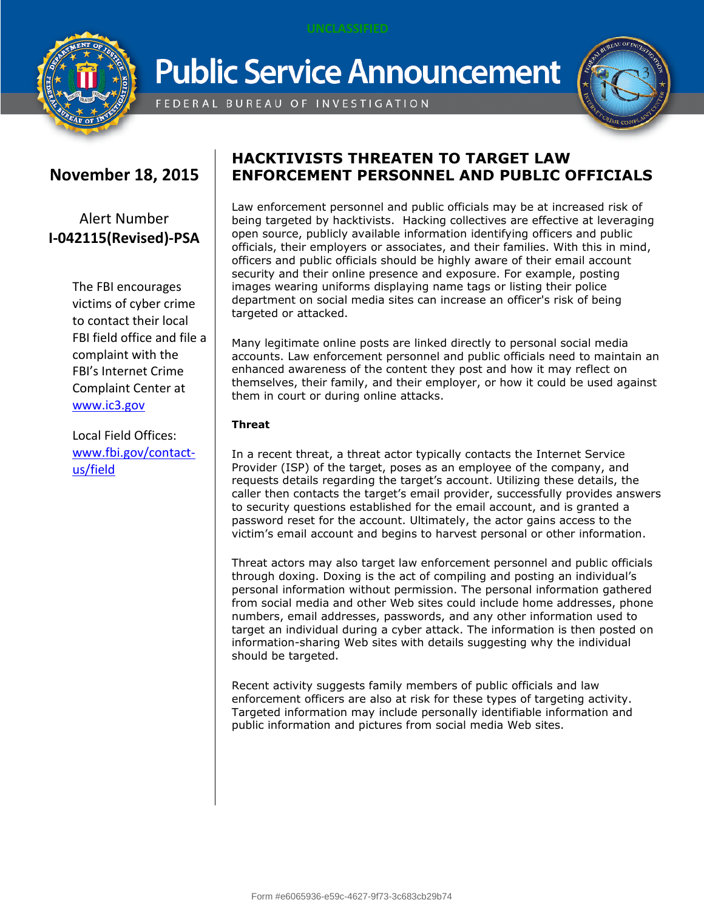

**Public Service Announcement** 

FEDERAL BUREAU OF INVESTIGATION



## **November 18, 2015**

Alert Number **I-042115(Revised)-PSA** 

> The FBI encourages victims of cyber crime to contact their local FBI field office and file a complaint with the FBI's Internet Crime Complaint Center at [www.ic3.gov](http://www.ic3.gov/)

Local Field Offices: [www.fbi.gov/contact](http://www.fbi.gov/contact-us/field)[us/field](http://www.fbi.gov/contact-us/field)

### **HACKTIVISTS THREATEN TO TARGET LAW ENFORCEMENT PERSONNEL AND PUBLIC OFFICIALS**

Law enforcement personnel and public officials may be at increased risk of being targeted by hacktivists. Hacking collectives are effective at leveraging open source, publicly available information identifying officers and public officials, their employers or associates, and their families. With this in mind, officers and public officials should be highly aware of their email account security and their online presence and exposure. For example, posting images wearing uniforms displaying name tags or listing their police department on social media sites can increase an officer's risk of being targeted or attacked.

Many legitimate online posts are linked directly to personal social media accounts. Law enforcement personnel and public officials need to maintain an enhanced awareness of the content they post and how it may reflect on themselves, their family, and their employer, or how it could be used against them in court or during online attacks.

### **Threat**

In a recent threat, a threat actor typically contacts the Internet Service Provider (ISP) of the target, poses as an employee of the company, and requests details regarding the target's account. Utilizing these details, the caller then contacts the target's email provider, successfully provides answers to security questions established for the email account, and is granted a password reset for the account. Ultimately, the actor gains access to the victim's email account and begins to harvest personal or other information.

Threat actors may also target law enforcement personnel and public officials through doxing. Doxing is the act of compiling and posting an individual's personal information without permission. The personal information gathered from social media and other Web sites could include home addresses, phone numbers, email addresses, passwords, and any other information used to target an individual during a cyber attack. The information is then posted on information-sharing Web sites with details suggesting why the individual should be targeted.

Recent activity suggests family members of public officials and law enforcement officers are also at risk for these types of targeting activity. Targeted information may include personally identifiable information and public information and pictures from social media Web sites.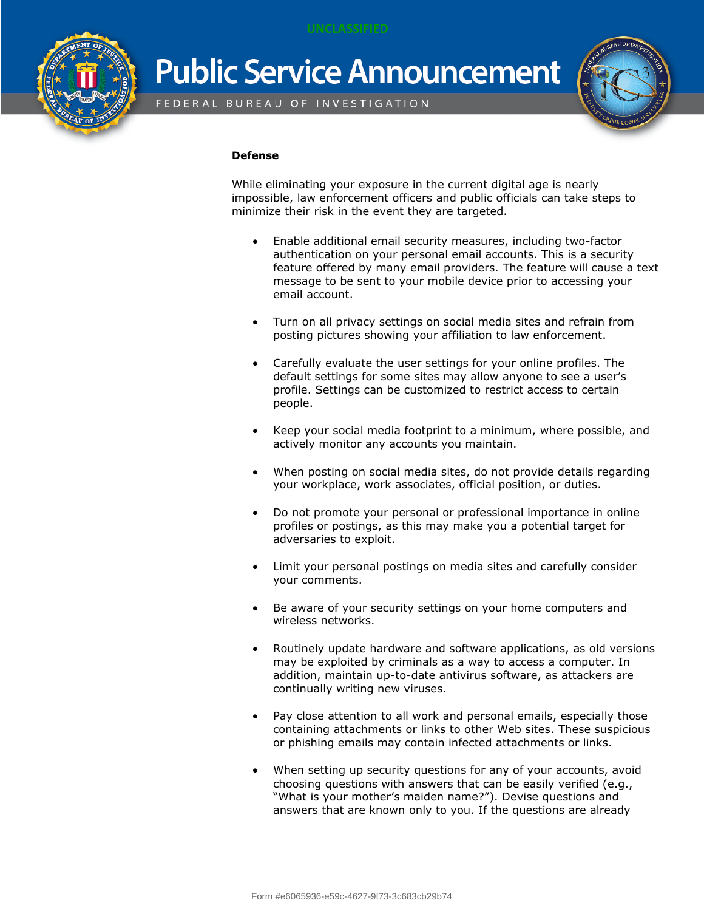

## **Public Service Announcement**

FEDERAL BUREAU OF INVESTIGATION



#### **Defense**

While eliminating your exposure in the current digital age is nearly impossible, law enforcement officers and public officials can take steps to minimize their risk in the event they are targeted.

- Enable additional email security measures, including two-factor authentication on your personal email accounts. This is a security feature offered by many email providers. The feature will cause a text message to be sent to your mobile device prior to accessing your email account.
- Turn on all privacy settings on social media sites and refrain from posting pictures showing your affiliation to law enforcement.
- Carefully evaluate the user settings for your online profiles. The default settings for some sites may allow anyone to see a user's profile. Settings can be customized to restrict access to certain people.
- Keep your social media footprint to a minimum, where possible, and actively monitor any accounts you maintain.
- When posting on social media sites, do not provide details regarding your workplace, work associates, official position, or duties.
- Do not promote your personal or professional importance in online profiles or postings, as this may make you a potential target for adversaries to exploit.
- Limit your personal postings on media sites and carefully consider your comments.
- Be aware of your security settings on your home computers and wireless networks.
- Routinely update hardware and software applications, as old versions may be exploited by criminals as a way to access a computer. In addition, maintain up-to-date antivirus software, as attackers are continually writing new viruses.
- Pay close attention to all work and personal emails, especially those containing attachments or links to other Web sites. These suspicious or phishing emails may contain infected attachments or links.
- When setting up security questions for any of your accounts, avoid choosing questions with answers that can be easily verified (e.g., "What is your mother's maiden name?"). Devise questions and answers that are known only to you. If the questions are already